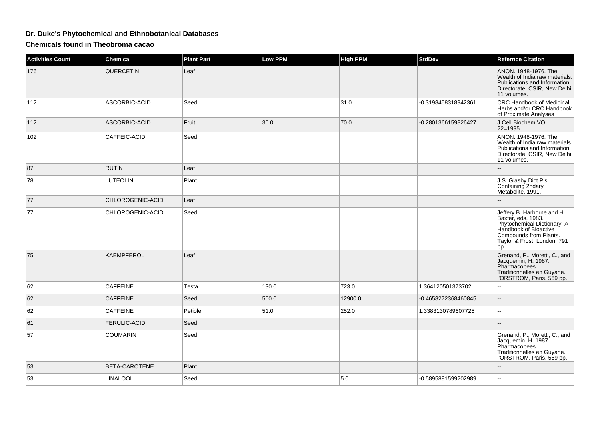## **Dr. Duke's Phytochemical and Ethnobotanical Databases**

**Chemicals found in Theobroma cacao**

| <b>Activities Count</b> | <b>Chemical</b>     | <b>Plant Part</b> | <b>Low PPM</b> | <b>High PPM</b> | <b>StdDev</b>       | <b>Refernce Citation</b>                                                                                                                                                 |
|-------------------------|---------------------|-------------------|----------------|-----------------|---------------------|--------------------------------------------------------------------------------------------------------------------------------------------------------------------------|
| 176                     | <b>QUERCETIN</b>    | Leaf              |                |                 |                     | ANON. 1948-1976. The<br>Wealth of India raw materials.<br>Publications and Information<br>Directorate, CSIR, New Delhi.<br>11 volumes.                                   |
| 112                     | ASCORBIC-ACID       | Seed              |                | 31.0            | -0.3198458318942361 | <b>CRC Handbook of Medicinal</b><br>Herbs and/or CRC Handbook<br>of Proximate Analyses                                                                                   |
| 112                     | ASCORBIC-ACID       | Fruit             | 30.0           | 70.0            | -0.2801366159826427 | J Cell Biochem VOL.<br>22=1995                                                                                                                                           |
| 102                     | CAFFEIC-ACID        | Seed              |                |                 |                     | ANON. 1948-1976. The<br>Wealth of India raw materials.<br>Publications and Information<br>Directorate, CSIR, New Delhi.<br>11 volumes.                                   |
| 87                      | <b>RUTIN</b>        | Leaf              |                |                 |                     |                                                                                                                                                                          |
| 78                      | <b>LUTEOLIN</b>     | Plant             |                |                 |                     | J.S. Glasby Dict.Pls<br>Containing 2ndary<br>Metabolite. 1991.                                                                                                           |
| 77                      | CHLOROGENIC-ACID    | Leaf              |                |                 |                     |                                                                                                                                                                          |
| 77                      | CHLOROGENIC-ACID    | Seed              |                |                 |                     | Jeffery B. Harborne and H.<br>Baxter, eds. 1983.<br>Phytochemical Dictionary. A<br>Handbook of Bioactive<br>Compounds from Plants.<br>Taylor & Frost, London. 791<br>pp. |
| 75                      | <b>KAEMPFEROL</b>   | Leaf              |                |                 |                     | Grenand, P., Moretti, C., and<br>Jacquemin, H. 1987.<br>Pharmacopees<br>Traditionnelles en Guyane.<br>l'ORSTROM, Paris. 569 pp.                                          |
| 62                      | <b>CAFFEINE</b>     | Testa             | 130.0          | 723.0           | 1.364120501373702   | Ξ.                                                                                                                                                                       |
| 62                      | <b>CAFFEINE</b>     | Seed              | 500.0          | 12900.0         | -0.4658272368460845 | $\overline{\phantom{a}}$                                                                                                                                                 |
| 62                      | <b>CAFFEINE</b>     | Petiole           | 51.0           | 252.0           | 1.3383130789607725  | $\overline{a}$                                                                                                                                                           |
| 61                      | <b>FERULIC-ACID</b> | Seed              |                |                 |                     |                                                                                                                                                                          |
| 57                      | <b>COUMARIN</b>     | Seed              |                |                 |                     | Grenand, P., Moretti, C., and<br>Jacquemin, H. 1987.<br>Pharmacopees<br>Traditionnelles en Guyane.<br>l'ORSTROM, Paris. 569 pp.                                          |
| 53                      | BETA-CAROTENE       | Plant             |                |                 |                     | --                                                                                                                                                                       |
| 53                      | <b>LINALOOL</b>     | Seed              |                | 5.0             | -0.5895891599202989 | ۵.                                                                                                                                                                       |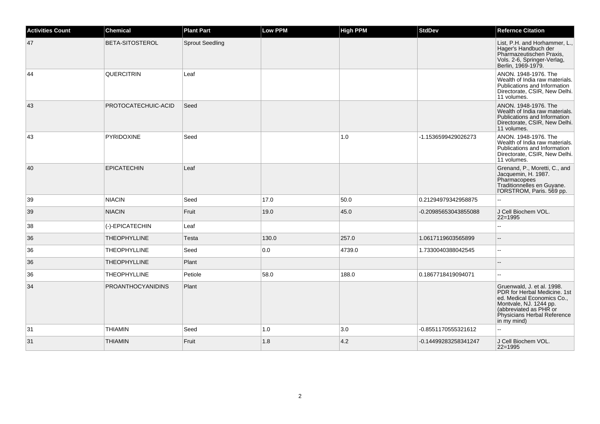| <b>Activities Count</b> | <b>Chemical</b>          | <b>Plant Part</b>      | Low PPM | <b>High PPM</b> | <b>StdDev</b>        | <b>Refernce Citation</b>                                                                                                                                                                   |
|-------------------------|--------------------------|------------------------|---------|-----------------|----------------------|--------------------------------------------------------------------------------------------------------------------------------------------------------------------------------------------|
| 47                      | <b>BETA-SITOSTEROL</b>   | <b>Sprout Seedling</b> |         |                 |                      | List, P.H. and Horhammer, L.<br>Hager's Handbuch der<br>Pharmazeutischen Praxis,<br>Vols. 2-6, Springer-Verlag,<br>Berlin, 1969-1979.                                                      |
| 44                      | <b>QUERCITRIN</b>        | Leaf                   |         |                 |                      | ANON. 1948-1976. The<br>Wealth of India raw materials.<br>Publications and Information<br>Directorate, CSIR, New Delhi.<br>11 volumes.                                                     |
| 43                      | PROTOCATECHUIC-ACID      | Seed                   |         |                 |                      | ANON. 1948-1976. The<br>Wealth of India raw materials.<br>Publications and Information<br>Directorate, CSIR, New Delhi.<br>11 volumes.                                                     |
| 43                      | <b>PYRIDOXINE</b>        | Seed                   |         | 1.0             | -1.1536599429026273  | ANON. 1948-1976. The<br>Wealth of India raw materials.<br>Publications and Information<br>Directorate, CSIR, New Delhi.<br>11 volumes.                                                     |
| 40                      | <b>EPICATECHIN</b>       | Leaf                   |         |                 |                      | Grenand, P., Moretti, C., and<br>Jacquemin, H. 1987.<br>Pharmacopees<br>Traditionnelles en Guyane.<br>l'ORSTROM, Paris. 569 pp.                                                            |
| 39                      | <b>NIACIN</b>            | Seed                   | 17.0    | 50.0            | 0.21294979342958875  | --                                                                                                                                                                                         |
| 39                      | <b>NIACIN</b>            | Fruit                  | 19.0    | 45.0            | -0.20985653043855088 | J Cell Biochem VOL.<br>$22=1995$                                                                                                                                                           |
| 38                      | (-)-EPICATECHIN          | Leaf                   |         |                 |                      | L.                                                                                                                                                                                         |
| 36                      | <b>THEOPHYLLINE</b>      | Testa                  | 130.0   | 257.0           | 1.0617119603565899   | $-$                                                                                                                                                                                        |
| 36                      | <b>THEOPHYLLINE</b>      | Seed                   | 0.0     | 4739.0          | 1.7330040388042545   | цц.                                                                                                                                                                                        |
| 36                      | <b>THEOPHYLLINE</b>      | Plant                  |         |                 |                      | --                                                                                                                                                                                         |
| 36                      | <b>THEOPHYLLINE</b>      | Petiole                | 58.0    | 188.0           | 0.1867718419094071   | $\overline{a}$                                                                                                                                                                             |
| 34                      | <b>PROANTHOCYANIDINS</b> | Plant                  |         |                 |                      | Gruenwald, J. et al. 1998.<br>PDR for Herbal Medicine. 1st<br>ed. Medical Economics Co.,<br>Montvale, NJ. 1244 pp.<br>(abbreviated as PHR or<br>Physicians Herbal Reference<br>in my mind) |
| 31                      | <b>THIAMIN</b>           | Seed                   | 1.0     | 3.0             | -0.8551170555321612  | --                                                                                                                                                                                         |
| 31                      | <b>THIAMIN</b>           | Fruit                  | 1.8     | 4.2             | -0.14499283258341247 | J Cell Biochem VOL.<br>$22 = 1995$                                                                                                                                                         |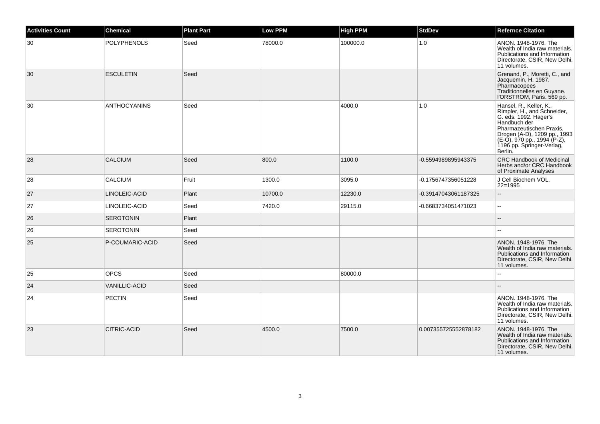| <b>Activities Count</b> | <b>Chemical</b>      | <b>Plant Part</b> | <b>Low PPM</b> | <b>High PPM</b> | <b>StdDev</b>        | <b>Refernce Citation</b>                                                                                                                                                                                                           |
|-------------------------|----------------------|-------------------|----------------|-----------------|----------------------|------------------------------------------------------------------------------------------------------------------------------------------------------------------------------------------------------------------------------------|
| 30                      | <b>POLYPHENOLS</b>   | Seed              | 78000.0        | 100000.0        | 1.0                  | ANON. 1948-1976. The<br>Wealth of India raw materials.<br>Publications and Information<br>Directorate, CSIR, New Delhi.<br>11 volumes.                                                                                             |
| 30                      | <b>ESCULETIN</b>     | Seed              |                |                 |                      | Grenand, P., Moretti, C., and<br>Jacquemin, H. 1987.<br>Pharmacopees<br>Traditionnelles en Guyane.<br>l'ORSTROM, Paris. 569 pp.                                                                                                    |
| 30                      | <b>ANTHOCYANINS</b>  | Seed              |                | 4000.0          | 1.0                  | Hansel, R., Keller, K.,<br>Rimpler, H., and Schneider,<br>G. eds. 1992. Hager's<br>Handbuch der<br>Pharmazeutischen Praxis,<br>Drogen (A-D), 1209 pp., 1993<br>(E-O), 970 pp., 1994 (P-Z),<br>1196 pp. Springer-Verlag,<br>Berlin. |
| 28                      | <b>CALCIUM</b>       | Seed              | 800.0          | 1100.0          | -0.5594989895943375  | <b>CRC Handbook of Medicinal</b><br>Herbs and/or CRC Handbook<br>of Proximate Analyses                                                                                                                                             |
| 28                      | <b>CALCIUM</b>       | Fruit             | 1300.0         | 3095.0          | -0.1756747356051228  | J Cell Biochem VOL.<br>$22 = 1995$                                                                                                                                                                                                 |
| 27                      | LINOLEIC-ACID        | Plant             | 10700.0        | 12230.0         | -0.39147043061187325 | $\overline{a}$                                                                                                                                                                                                                     |
| 27                      | LINOLEIC-ACID        | Seed              | 7420.0         | 29115.0         | -0.6683734051471023  | $-$                                                                                                                                                                                                                                |
| 26                      | <b>SEROTONIN</b>     | Plant             |                |                 |                      |                                                                                                                                                                                                                                    |
| 26                      | <b>SEROTONIN</b>     | Seed              |                |                 |                      | $\overline{\phantom{a}}$                                                                                                                                                                                                           |
| 25                      | P-COUMARIC-ACID      | Seed              |                |                 |                      | ANON. 1948-1976. The<br>Wealth of India raw materials.<br>Publications and Information<br>Directorate, CSIR, New Delhi.<br>11 volumes.                                                                                             |
| 25                      | <b>OPCS</b>          | Seed              |                | 80000.0         |                      | Ξ.                                                                                                                                                                                                                                 |
| 24                      | <b>VANILLIC-ACID</b> | Seed              |                |                 |                      | $-$                                                                                                                                                                                                                                |
| 24                      | <b>PECTIN</b>        | Seed              |                |                 |                      | ANON. 1948-1976. The<br>Wealth of India raw materials.<br>Publications and Information<br>Directorate, CSIR, New Delhi.<br>11 volumes.                                                                                             |
| 23                      | <b>CITRIC-ACID</b>   | Seed              | 4500.0         | 7500.0          | 0.007355725552878182 | ANON, 1948-1976. The<br>Wealth of India raw materials.<br>Publications and Information<br>Directorate, CSIR, New Delhi.<br>11 volumes.                                                                                             |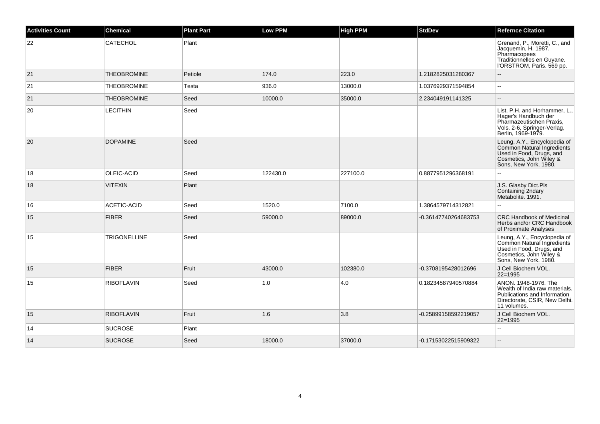| <b>Activities Count</b> | <b>Chemical</b>     | <b>Plant Part</b> | <b>Low PPM</b> | <b>High PPM</b> | <b>StdDev</b>        | <b>Refernce Citation</b>                                                                                                                   |
|-------------------------|---------------------|-------------------|----------------|-----------------|----------------------|--------------------------------------------------------------------------------------------------------------------------------------------|
| 22                      | <b>CATECHOL</b>     | Plant             |                |                 |                      | Grenand, P., Moretti, C., and<br>Jacquemin, H. 1987.<br>Pharmacopees<br>Traditionnelles en Guyane.<br>I'ORSTROM, Paris. 569 pp.            |
| 21                      | <b>THEOBROMINE</b>  | Petiole           | 174.0          | 223.0           | 1.2182825031280367   |                                                                                                                                            |
| 21                      | <b>THEOBROMINE</b>  | Testa             | 936.0          | 13000.0         | 1.0376929371594854   | Ξ.                                                                                                                                         |
| 21                      | <b>THEOBROMINE</b>  | Seed              | 10000.0        | 35000.0         | 2.234049191141325    | $-$                                                                                                                                        |
| 20                      | <b>LECITHIN</b>     | Seed              |                |                 |                      | List, P.H. and Horhammer, L.,<br>Hager's Handbuch der<br>Pharmazeutischen Praxis,<br>Vols. 2-6, Springer-Verlag,<br>Berlin, 1969-1979.     |
| 20                      | <b>DOPAMINE</b>     | Seed              |                |                 |                      | Leung, A.Y., Encyclopedia of<br>Common Natural Ingredients<br>Used in Food, Drugs, and<br>Cosmetics, John Wiley &<br>Sons, New York, 1980. |
| 18                      | OLEIC-ACID          | Seed              | 122430.0       | 227100.0        | 0.8877951296368191   |                                                                                                                                            |
| 18                      | <b>VITEXIN</b>      | Plant             |                |                 |                      | J.S. Glasby Dict.Pls<br>Containing 2ndary<br>Metabolite. 1991.                                                                             |
| 16                      | ACETIC-ACID         | Seed              | 1520.0         | 7100.0          | 1.3864579714312821   | Ξ.                                                                                                                                         |
| 15                      | <b>FIBER</b>        | Seed              | 59000.0        | 89000.0         | -0.36147740264683753 | <b>CRC Handbook of Medicinal</b><br>Herbs and/or CRC Handbook<br>of Proximate Analyses                                                     |
| 15                      | <b>TRIGONELLINE</b> | Seed              |                |                 |                      | Leung, A.Y., Encyclopedia of<br>Common Natural Ingredients<br>Used in Food, Drugs, and<br>Cosmetics, John Wiley &<br>Sons, New York, 1980. |
| 15                      | <b>FIBER</b>        | Fruit             | 43000.0        | 102380.0        | -0.3708195428012696  | J Cell Biochem VOL.<br>$22 = 1995$                                                                                                         |
| 15                      | <b>RIBOFLAVIN</b>   | Seed              | 1.0            | 4.0             | 0.18234587940570884  | ANON, 1948-1976, The<br>Wealth of India raw materials.<br>Publications and Information<br>Directorate, CSIR, New Delhi.<br>11 volumes.     |
| 15                      | <b>RIBOFLAVIN</b>   | Fruit             | 1.6            | 3.8             | -0.25899158592219057 | J Cell Biochem VOL.<br>$22 = 1995$                                                                                                         |
| 14                      | <b>SUCROSE</b>      | Plant             |                |                 |                      |                                                                                                                                            |
| 14                      | <b>SUCROSE</b>      | Seed              | 18000.0        | 37000.0         | -0.17153022515909322 |                                                                                                                                            |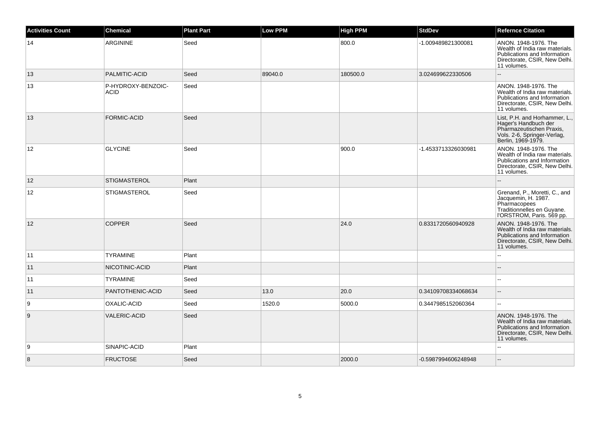| <b>Activities Count</b> | <b>Chemical</b>                   | <b>Plant Part</b> | Low PPM | <b>High PPM</b> | <b>StdDev</b>       | <b>Refernce Citation</b>                                                                                                               |
|-------------------------|-----------------------------------|-------------------|---------|-----------------|---------------------|----------------------------------------------------------------------------------------------------------------------------------------|
| 14                      | <b>ARGININE</b>                   | Seed              |         | 800.0           | -1.009489821300081  | ANON. 1948-1976. The<br>Wealth of India raw materials.<br>Publications and Information<br>Directorate, CSIR, New Delhi.<br>11 volumes. |
| 13                      | PALMITIC-ACID                     | Seed              | 89040.0 | 180500.0        | 3.024699622330506   |                                                                                                                                        |
| 13                      | P-HYDROXY-BENZOIC-<br><b>ACID</b> | Seed              |         |                 |                     | ANON, 1948-1976, The<br>Wealth of India raw materials.<br>Publications and Information<br>Directorate, CSIR, New Delhi.<br>11 volumes. |
| 13                      | <b>FORMIC-ACID</b>                | Seed              |         |                 |                     | List, P.H. and Horhammer, L.,<br>Hager's Handbuch der<br>Pharmazeutischen Praxis,<br>Vols. 2-6, Springer-Verlag,<br>Berlin, 1969-1979. |
| $ 12\rangle$            | <b>GLYCINE</b>                    | Seed              |         | 900.0           | -1.4533713326030981 | ANON. 1948-1976. The<br>Wealth of India raw materials.<br>Publications and Information<br>Directorate, CSIR, New Delhi.<br>11 volumes. |
| 12                      | <b>STIGMASTEROL</b>               | Plant             |         |                 |                     |                                                                                                                                        |
| 12                      | <b>STIGMASTEROL</b>               | Seed              |         |                 |                     | Grenand, P., Moretti, C., and<br>Jacquemin, H. 1987.<br>Pharmacopees<br>Traditionnelles en Guyane.<br>l'ORSTROM, Paris. 569 pp.        |
| 12                      | <b>COPPER</b>                     | Seed              |         | 24.0            | 0.8331720560940928  | ANON. 1948-1976. The<br>Wealth of India raw materials.<br>Publications and Information<br>Directorate, CSIR, New Delhi.<br>11 volumes. |
| 11                      | <b>TYRAMINE</b>                   | Plant             |         |                 |                     |                                                                                                                                        |
| 11                      | NICOTINIC-ACID                    | Plant             |         |                 |                     |                                                                                                                                        |
| 11                      | <b>TYRAMINE</b>                   | Seed              |         |                 |                     |                                                                                                                                        |
| 11                      | PANTOTHENIC-ACID                  | Seed              | 13.0    | 20.0            | 0.34109708334068634 | ۵.                                                                                                                                     |
| 9                       | OXALIC-ACID                       | Seed              | 1520.0  | 5000.0          | 0.3447985152060364  | 44                                                                                                                                     |
| 9                       | <b>VALERIC-ACID</b>               | Seed              |         |                 |                     | ANON. 1948-1976. The<br>Wealth of India raw materials.<br>Publications and Information<br>Directorate, CSIR, New Delhi.<br>11 volumes. |
| 9                       | SINAPIC-ACID                      | Plant             |         |                 |                     |                                                                                                                                        |
| 8                       | <b>FRUCTOSE</b>                   | Seed              |         | 2000.0          | -0.5987994606248948 |                                                                                                                                        |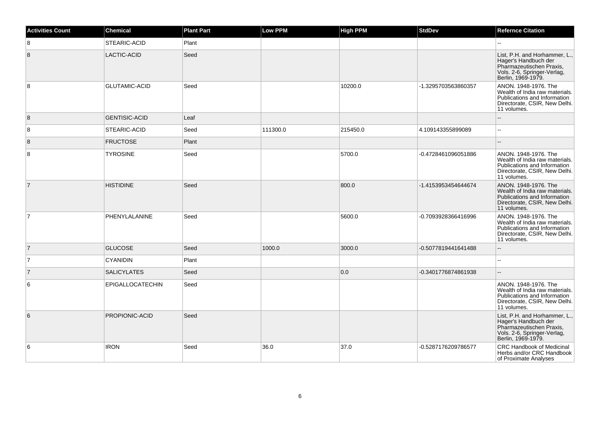| <b>Activities Count</b> | <b>Chemical</b>      | <b>Plant Part</b> | Low PPM  | <b>High PPM</b> | <b>StdDev</b>       | <b>Refernce Citation</b>                                                                                                               |
|-------------------------|----------------------|-------------------|----------|-----------------|---------------------|----------------------------------------------------------------------------------------------------------------------------------------|
| 8                       | STEARIC-ACID         | Plant             |          |                 |                     |                                                                                                                                        |
| 8                       | LACTIC-ACID          | Seed              |          |                 |                     | List, P.H. and Horhammer, L.,<br>Hager's Handbuch der<br>Pharmazeutischen Praxis,<br>Vols. 2-6, Springer-Verlag,<br>Berlin, 1969-1979. |
| 8                       | <b>GLUTAMIC-ACID</b> | Seed              |          | 10200.0         | -1.3295703563860357 | ANON. 1948-1976. The<br>Wealth of India raw materials.<br>Publications and Information<br>Directorate, CSIR, New Delhi.<br>11 volumes. |
| 8                       | <b>GENTISIC-ACID</b> | Leaf              |          |                 |                     |                                                                                                                                        |
| 8                       | STEARIC-ACID         | Seed              | 111300.0 | 215450.0        | 4.109143355899089   | $\sim$                                                                                                                                 |
| 8                       | <b>FRUCTOSE</b>      | Plant             |          |                 |                     |                                                                                                                                        |
| 8                       | <b>TYROSINE</b>      | Seed              |          | 5700.0          | -0.4728461096051886 | ANON, 1948-1976. The<br>Wealth of India raw materials.<br>Publications and Information<br>Directorate, CSIR, New Delhi.<br>11 volumes. |
| $\overline{7}$          | <b>HISTIDINE</b>     | Seed              |          | 800.0           | -1.4153953454644674 | ANON. 1948-1976. The<br>Wealth of India raw materials.<br>Publications and Information<br>Directorate, CSIR, New Delhi.<br>11 volumes. |
| $\overline{7}$          | PHENYLALANINE        | Seed              |          | 5600.0          | -0.7093928366416996 | ANON. 1948-1976. The<br>Wealth of India raw materials.<br>Publications and Information<br>Directorate, CSIR, New Delhi.<br>11 volumes. |
| $\overline{7}$          | <b>GLUCOSE</b>       | Seed              | 1000.0   | 3000.0          | -0.5077819441641488 |                                                                                                                                        |
| $\overline{7}$          | <b>CYANIDIN</b>      | Plant             |          |                 |                     | $\overline{a}$                                                                                                                         |
| $\overline{7}$          | <b>SALICYLATES</b>   | Seed              |          | 0.0             | -0.3401776874861938 |                                                                                                                                        |
| 6                       | EPIGALLOCATECHIN     | Seed              |          |                 |                     | ANON, 1948-1976. The<br>Wealth of India raw materials.<br>Publications and Information<br>Directorate, CSIR, New Delhi.<br>11 volumes. |
| 6                       | PROPIONIC-ACID       | Seed              |          |                 |                     | List, P.H. and Horhammer, L.,<br>Hager's Handbuch der<br>Pharmazeutischen Praxis,<br>Vols. 2-6, Springer-Verlag,<br>Berlin, 1969-1979. |
| 6                       | <b>IRON</b>          | Seed              | 36.0     | 37.0            | -0.5287176209786577 | <b>CRC Handbook of Medicinal</b><br>Herbs and/or CRC Handbook<br>of Proximate Analyses                                                 |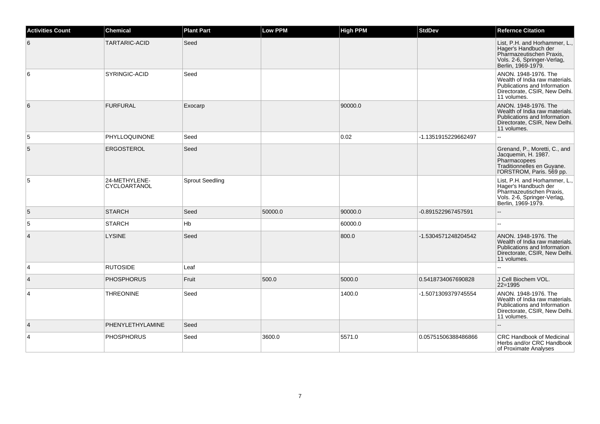| <b>Activities Count</b> | <b>Chemical</b>               | <b>Plant Part</b>      | Low PPM | <b>High PPM</b> | <b>StdDev</b>       | <b>Refernce Citation</b>                                                                                                               |
|-------------------------|-------------------------------|------------------------|---------|-----------------|---------------------|----------------------------------------------------------------------------------------------------------------------------------------|
| 6                       | TARTARIC-ACID                 | Seed                   |         |                 |                     | List, P.H. and Horhammer, L.,<br>Hager's Handbuch der<br>Pharmazeutischen Praxis,<br>Vols. 2-6, Springer-Verlag,<br>Berlin, 1969-1979. |
| 6                       | <b>SYRINGIC-ACID</b>          | Seed                   |         |                 |                     | ANON. 1948-1976. The<br>Wealth of India raw materials.<br>Publications and Information<br>Directorate, CSIR, New Delhi.<br>11 volumes. |
| 6                       | <b>FURFURAL</b>               | Exocarp                |         | 90000.0         |                     | ANON. 1948-1976. The<br>Wealth of India raw materials.<br>Publications and Information<br>Directorate, CSIR, New Delhi.<br>11 volumes. |
| 5                       | PHYLLOQUINONE                 | Seed                   |         | 0.02            | -1.1351915229662497 | ă.                                                                                                                                     |
| 5                       | ERGOSTEROL                    | Seed                   |         |                 |                     | Grenand, P., Moretti, C., and<br>Jacquemin, H. 1987.<br>Pharmacopees<br>Traditionnelles en Guyane.<br>l'ORSTROM, Paris. 569 pp.        |
| 5                       | 24-METHYLENE-<br>CYCLOARTANOL | <b>Sprout Seedling</b> |         |                 |                     | List, P.H. and Horhammer, L.,<br>Hager's Handbuch der<br>Pharmazeutischen Praxis,<br>Vols. 2-6, Springer-Verlag,<br>Berlin, 1969-1979. |
| 5                       | <b>STARCH</b>                 | Seed                   | 50000.0 | 90000.0         | -0.891522967457591  | --                                                                                                                                     |
| 5                       | <b>STARCH</b>                 | Hb                     |         | 60000.0         |                     | Щ,                                                                                                                                     |
| $\overline{4}$          | <b>LYSINE</b>                 | Seed                   |         | 800.0           | -1.5304571248204542 | ANON. 1948-1976. The<br>Wealth of India raw materials.<br>Publications and Information<br>Directorate, CSIR, New Delhi.<br>11 volumes. |
| $\overline{4}$          | <b>RUTOSIDE</b>               | Leaf                   |         |                 |                     |                                                                                                                                        |
| $\overline{4}$          | <b>PHOSPHORUS</b>             | Fruit                  | 500.0   | 5000.0          | 0.5418734067690828  | J Cell Biochem VOL.<br>$22 = 1995$                                                                                                     |
| $\overline{4}$          | <b>THREONINE</b>              | Seed                   |         | 1400.0          | -1.5071309379745554 | ANON, 1948-1976, The<br>Wealth of India raw materials.<br>Publications and Information<br>Directorate, CSIR, New Delhi.<br>11 volumes. |
| $\overline{4}$          | PHENYLETHYLAMINE              | Seed                   |         |                 |                     |                                                                                                                                        |
| $\overline{4}$          | <b>PHOSPHORUS</b>             | Seed                   | 3600.0  | 5571.0          | 0.05751506388486866 | <b>CRC Handbook of Medicinal</b><br>Herbs and/or CRC Handbook<br>of Proximate Analyses                                                 |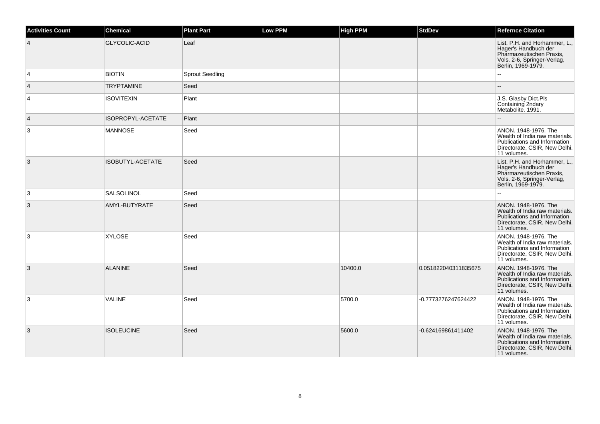| <b>Activities Count</b> | <b>Chemical</b>      | <b>Plant Part</b>      | <b>Low PPM</b> | <b>High PPM</b> | <b>StdDev</b>        | <b>Refernce Citation</b>                                                                                                               |
|-------------------------|----------------------|------------------------|----------------|-----------------|----------------------|----------------------------------------------------------------------------------------------------------------------------------------|
| $\overline{4}$          | <b>GLYCOLIC-ACID</b> | Leaf                   |                |                 |                      | List, P.H. and Horhammer, L.,<br>Hager's Handbuch der<br>Pharmazeutischen Praxis,<br>Vols. 2-6, Springer-Verlag,<br>Berlin, 1969-1979. |
| 4                       | <b>BIOTIN</b>        | <b>Sprout Seedling</b> |                |                 |                      |                                                                                                                                        |
| $\overline{4}$          | <b>TRYPTAMINE</b>    | Seed                   |                |                 |                      |                                                                                                                                        |
| $\overline{4}$          | <b>ISOVITEXIN</b>    | Plant                  |                |                 |                      | J.S. Glasby Dict.Pls<br>Containing 2ndary<br>Metabolite. 1991.                                                                         |
| $\overline{4}$          | ISOPROPYL-ACETATE    | Plant                  |                |                 |                      |                                                                                                                                        |
| $\mathsf 3$             | <b>MANNOSE</b>       | Seed                   |                |                 |                      | ANON. 1948-1976. The<br>Wealth of India raw materials.<br>Publications and Information<br>Directorate, CSIR, New Delhi.<br>11 volumes. |
| 3                       | ISOBUTYL-ACETATE     | Seed                   |                |                 |                      | List, P.H. and Horhammer, L.,<br>Hager's Handbuch der<br>Pharmazeutischen Praxis,<br>Vols. 2-6, Springer-Verlag,<br>Berlin, 1969-1979. |
| 3                       | <b>SALSOLINOL</b>    | Seed                   |                |                 |                      |                                                                                                                                        |
| 3                       | AMYL-BUTYRATE        | Seed                   |                |                 |                      | ANON. 1948-1976. The<br>Wealth of India raw materials.<br>Publications and Information<br>Directorate, CSIR, New Delhi.<br>11 volumes. |
| 3                       | <b>XYLOSE</b>        | Seed                   |                |                 |                      | ANON. 1948-1976. The<br>Wealth of India raw materials.<br>Publications and Information<br>Directorate, CSIR, New Delhi.<br>11 volumes. |
| 3                       | <b>ALANINE</b>       | Seed                   |                | 10400.0         | 0.051822040311835675 | ANON. 1948-1976. The<br>Wealth of India raw materials.<br>Publications and Information<br>Directorate, CSIR, New Delhi.<br>11 volumes. |
| 3                       | VALINE               | Seed                   |                | 5700.0          | -0.7773276247624422  | ANON. 1948-1976. The<br>Wealth of India raw materials.<br>Publications and Information<br>Directorate, CSIR, New Delhi.<br>11 volumes. |
| 3                       | <b>ISOLEUCINE</b>    | Seed                   |                | 5600.0          | -0.624169861411402   | ANON. 1948-1976. The<br>Wealth of India raw materials.<br>Publications and Information<br>Directorate, CSIR, New Delhi.<br>11 volumes. |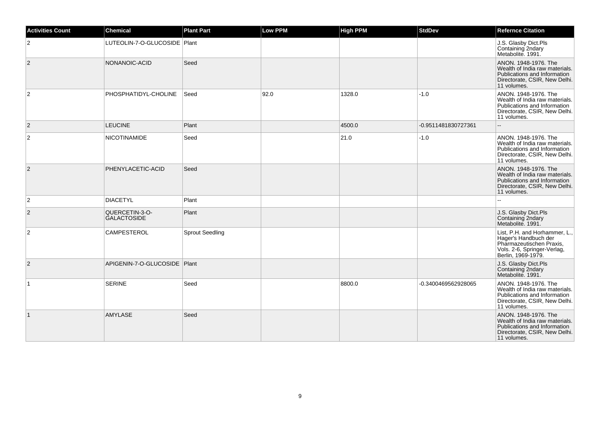| <b>Activities Count</b> | <b>Chemical</b>                      | <b>Plant Part</b>      | <b>Low PPM</b> | <b>High PPM</b> | <b>StdDev</b>       | <b>Refernce Citation</b>                                                                                                               |
|-------------------------|--------------------------------------|------------------------|----------------|-----------------|---------------------|----------------------------------------------------------------------------------------------------------------------------------------|
| $\overline{2}$          | LUTEOLIN-7-O-GLUCOSIDE   Plant       |                        |                |                 |                     | J.S. Glasby Dict.Pls<br>Containing 2ndary<br>Metabolite. 1991.                                                                         |
| 2                       | NONANOIC-ACID                        | Seed                   |                |                 |                     | ANON. 1948-1976. The<br>Wealth of India raw materials.<br>Publications and Information<br>Directorate, CSIR, New Delhi.<br>11 volumes. |
| $\overline{2}$          | PHOSPHATIDYL-CHOLINE                 | Seed                   | 92.0           | 1328.0          | $-1.0$              | ANON. 1948-1976. The<br>Wealth of India raw materials.<br>Publications and Information<br>Directorate, CSIR, New Delhi.<br>11 volumes. |
| $\vert$ 2               | <b>LEUCINE</b>                       | Plant                  |                | 4500.0          | -0.9511481830727361 | $-$                                                                                                                                    |
| $\overline{2}$          | <b>NICOTINAMIDE</b>                  | Seed                   |                | 21.0            | $-1.0$              | ANON. 1948-1976. The<br>Wealth of India raw materials.<br>Publications and Information<br>Directorate, CSIR, New Delhi.<br>11 volumes. |
| $\overline{2}$          | PHENYLACETIC-ACID                    | Seed                   |                |                 |                     | ANON. 1948-1976. The<br>Wealth of India raw materials.<br>Publications and Information<br>Directorate, CSIR, New Delhi.<br>11 volumes. |
| $\overline{2}$          | <b>DIACETYL</b>                      | Plant                  |                |                 |                     |                                                                                                                                        |
| $\overline{2}$          | QUERCETIN-3-O-<br><b>GALACTOSIDE</b> | Plant                  |                |                 |                     | J.S. Glasby Dict.Pls<br>Containing 2ndary<br>Metabolite, 1991.                                                                         |
| $\overline{2}$          | <b>CAMPESTEROL</b>                   | <b>Sprout Seedling</b> |                |                 |                     | List, P.H. and Horhammer, L.,<br>Hager's Handbuch der<br>Pharmazeutischen Praxis,<br>Vols. 2-6, Springer-Verlag,<br>Berlin, 1969-1979. |
| $\overline{2}$          | APIGENIN-7-O-GLUCOSIDE   Plant       |                        |                |                 |                     | J.S. Glasby Dict.Pls<br>Containing 2ndary<br>Metabolite. 1991.                                                                         |
| $\overline{1}$          | <b>SERINE</b>                        | Seed                   |                | 8800.0          | -0.3400469562928065 | ANON. 1948-1976. The<br>Wealth of India raw materials.<br>Publications and Information<br>Directorate, CSIR, New Delhi.<br>11 volumes. |
| $\vert$ 1               | <b>AMYLASE</b>                       | Seed                   |                |                 |                     | ANON. 1948-1976. The<br>Wealth of India raw materials.<br>Publications and Information<br>Directorate, CSIR, New Delhi.<br>11 volumes. |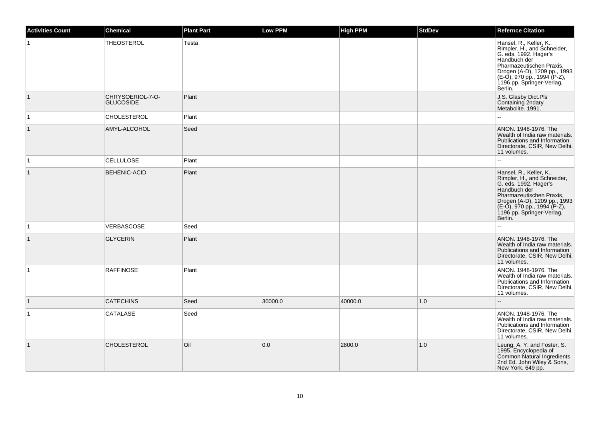| <b>Activities Count</b> | <b>Chemical</b>                      | <b>Plant Part</b> | <b>Low PPM</b> | <b>High PPM</b> | <b>StdDev</b> | <b>Refernce Citation</b>                                                                                                                                                                                                              |
|-------------------------|--------------------------------------|-------------------|----------------|-----------------|---------------|---------------------------------------------------------------------------------------------------------------------------------------------------------------------------------------------------------------------------------------|
| 1                       | <b>THEOSTEROL</b>                    | Testa             |                |                 |               | Hansel, R., Keller, K.,<br>Rimpler, H., and Schneider,<br>G. eds. 1992. Hager's<br>Handbuch der<br>Pharmazeutischen Praxis,<br>Drogen (A-D), 1209 pp., 1993<br>$(E-0)$ , 970 pp., 1994 (P-Z),<br>1196 pp. Springer-Verlag,<br>Berlin. |
| $\vert$ 1               | CHRYSOERIOL-7-O-<br><b>GLUCOSIDE</b> | Plant             |                |                 |               | J.S. Glasby Dict.Pls<br>Containing 2ndary<br>Metabolite. 1991.                                                                                                                                                                        |
| $\overline{1}$          | <b>CHOLESTEROL</b>                   | Plant             |                |                 |               | ۵۵                                                                                                                                                                                                                                    |
| $\mathbf{1}$            | AMYL-ALCOHOL                         | Seed              |                |                 |               | ANON. 1948-1976. The<br>Wealth of India raw materials.<br>Publications and Information<br>Directorate, CSIR, New Delhi.<br>11 volumes.                                                                                                |
| $\overline{1}$          | <b>CELLULOSE</b>                     | Plant             |                |                 |               |                                                                                                                                                                                                                                       |
| $\mathbf{1}$            | <b>BEHENIC-ACID</b>                  | Plant             |                |                 |               | Hansel, R., Keller, K.,<br>Rimpler, H., and Schneider,<br>G. eds. 1992. Hager's<br>Handbuch der<br>Pharmazeutischen Praxis,<br>Drogen (A-D), 1209 pp., 1993<br>(E-O), 970 pp., 1994 (P-Z),<br>1196 pp. Springer-Verlag,<br>Berlin.    |
| $\vert$ 1               | VERBASCOSE                           | Seed              |                |                 |               |                                                                                                                                                                                                                                       |
| $\vert$ 1               | <b>GLYCERIN</b>                      | Plant             |                |                 |               | ANON. 1948-1976. The<br>Wealth of India raw materials.<br>Publications and Information<br>Directorate, CSIR, New Delhi.<br>11 volumes.                                                                                                |
| $\mathbf 1$             | <b>RAFFINOSE</b>                     | Plant             |                |                 |               | ANON. 1948-1976. The<br>Wealth of India raw materials.<br>Publications and Information<br>Directorate, CSIR, New Delhi.<br>11 volumes.                                                                                                |
| $\mathbf{1}$            | <b>CATECHINS</b>                     | Seed              | 30000.0        | 40000.0         | 1.0           |                                                                                                                                                                                                                                       |
| 1                       | CATALASE                             | Seed              |                |                 |               | ANON. 1948-1976. The<br>Wealth of India raw materials.<br>Publications and Information<br>Directorate, CSIR, New Delhi.<br>11 volumes.                                                                                                |
| $\overline{1}$          | <b>CHOLESTEROL</b>                   | Oil               | 0.0            | 2800.0          | 1.0           | Leung, A. Y. and Foster, S.<br>1995. Encyclopedia of<br>Common Natural Ingredients<br>2nd Ed. John Wiley & Sons,<br>New York. 649 pp.                                                                                                 |